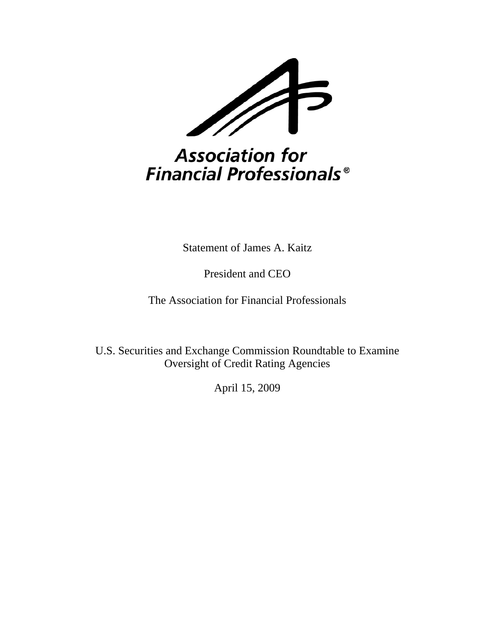

# Association for **Financial Professionals<sup>®</sup>**

Statement of James A. Kaitz

President and CEO

The Association for Financial Professionals

U.S. Securities and Exchange Commission Roundtable to Examine Oversight of Credit Rating Agencies

April 15, 2009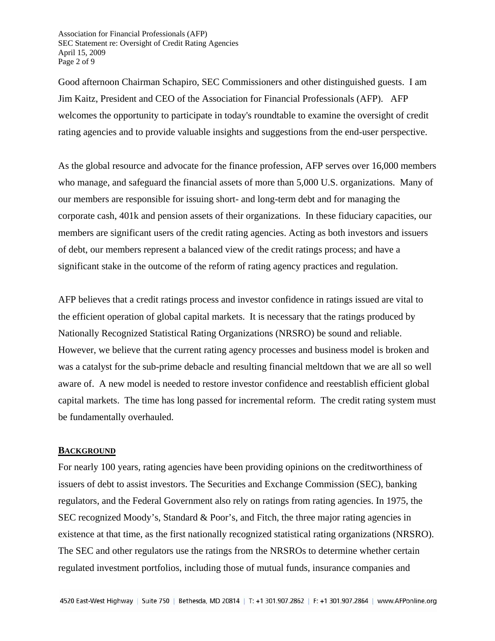Association for Financial Professionals (AFP) SEC Statement re: Oversight of Credit Rating Agencies April 15, 2009 Page 2 of 9

Good afternoon Chairman Schapiro, SEC Commissioners and other distinguished guests. I am Jim Kaitz, President and CEO of the Association for Financial Professionals (AFP). AFP welcomes the opportunity to participate in today's roundtable to examine the oversight of credit rating agencies and to provide valuable insights and suggestions from the end-user perspective.

As the global resource and advocate for the finance profession, AFP serves over 16,000 members who manage, and safeguard the financial assets of more than 5,000 U.S. organizations. Many of our members are responsible for issuing short- and long-term debt and for managing the corporate cash, 401k and pension assets of their organizations. In these fiduciary capacities, our members are significant users of the credit rating agencies. Acting as both investors and issuers of debt, our members represent a balanced view of the credit ratings process; and have a significant stake in the outcome of the reform of rating agency practices and regulation.

AFP believes that a credit ratings process and investor confidence in ratings issued are vital to the efficient operation of global capital markets. It is necessary that the ratings produced by Nationally Recognized Statistical Rating Organizations (NRSRO) be sound and reliable. However, we believe that the current rating agency processes and business model is broken and was a catalyst for the sub-prime debacle and resulting financial meltdown that we are all so well aware of. A new model is needed to restore investor confidence and reestablish efficient global capital markets. The time has long passed for incremental reform. The credit rating system must be fundamentally overhauled.

#### **BACKGROUND**

For nearly 100 years, rating agencies have been providing opinions on the creditworthiness of issuers of debt to assist investors. The Securities and Exchange Commission (SEC), banking regulators, and the Federal Government also rely on ratings from rating agencies. In 1975, the SEC recognized Moody's, Standard & Poor's, and Fitch, the three major rating agencies in existence at that time, as the first nationally recognized statistical rating organizations (NRSRO). The SEC and other regulators use the ratings from the NRSROs to determine whether certain regulated investment portfolios, including those of mutual funds, insurance companies and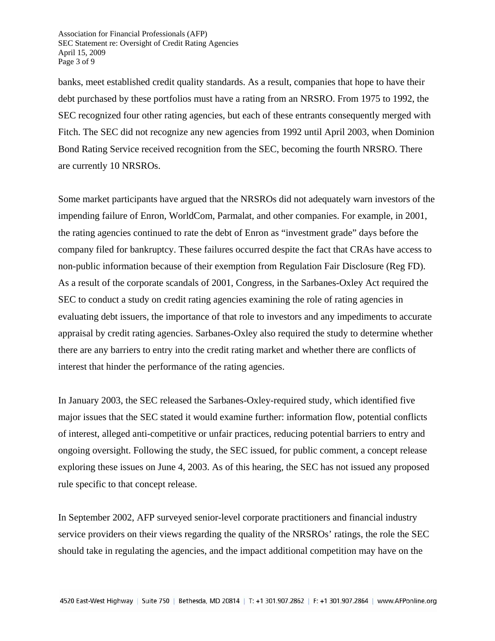Association for Financial Professionals (AFP) SEC Statement re: Oversight of Credit Rating Agencies April 15, 2009 Page 3 of 9

banks, meet established credit quality standards. As a result, companies that hope to have their debt purchased by these portfolios must have a rating from an NRSRO. From 1975 to 1992, the SEC recognized four other rating agencies, but each of these entrants consequently merged with Fitch. The SEC did not recognize any new agencies from 1992 until April 2003, when Dominion Bond Rating Service received recognition from the SEC, becoming the fourth NRSRO. There are currently 10 NRSROs.

Some market participants have argued that the NRSROs did not adequately warn investors of the impending failure of Enron, WorldCom, Parmalat, and other companies. For example, in 2001, the rating agencies continued to rate the debt of Enron as "investment grade" days before the company filed for bankruptcy. These failures occurred despite the fact that CRAs have access to non-public information because of their exemption from Regulation Fair Disclosure (Reg FD). As a result of the corporate scandals of 2001, Congress, in the Sarbanes-Oxley Act required the SEC to conduct a study on credit rating agencies examining the role of rating agencies in evaluating debt issuers, the importance of that role to investors and any impediments to accurate appraisal by credit rating agencies. Sarbanes-Oxley also required the study to determine whether there are any barriers to entry into the credit rating market and whether there are conflicts of interest that hinder the performance of the rating agencies.

In January 2003, the SEC released the Sarbanes-Oxley-required study, which identified five major issues that the SEC stated it would examine further: information flow, potential conflicts of interest, alleged anti-competitive or unfair practices, reducing potential barriers to entry and ongoing oversight. Following the study, the SEC issued, for public comment, a concept release exploring these issues on June 4, 2003. As of this hearing, the SEC has not issued any proposed rule specific to that concept release.

In September 2002, AFP surveyed senior-level corporate practitioners and financial industry service providers on their views regarding the quality of the NRSROs' ratings, the role the SEC should take in regulating the agencies, and the impact additional competition may have on the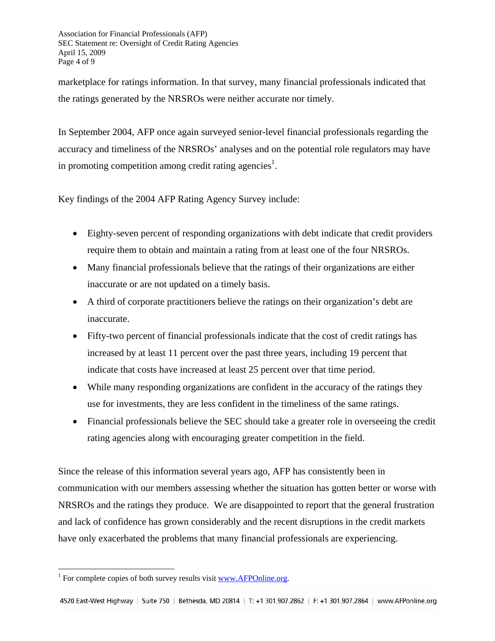Association for Financial Professionals (AFP) SEC Statement re: Oversight of Credit Rating Agencies April 15, 2009 Page 4 of 9

marketplace for ratings information. In that survey, many financial professionals indicated that the ratings generated by the NRSROs were neither accurate nor timely.

In September 2004, AFP once again surveyed senior-level financial professionals regarding the accuracy and timeliness of the NRSROs' analyses and on the potential role regulators may have in promoting competition among credit rating agencies<sup>1</sup>.

Key findings of the 2004 AFP Rating Agency Survey include:

- Eighty-seven percent of responding organizations with debt indicate that credit providers require them to obtain and maintain a rating from at least one of the four NRSROs.
- Many financial professionals believe that the ratings of their organizations are either inaccurate or are not updated on a timely basis.
- A third of corporate practitioners believe the ratings on their organization's debt are inaccurate.
- Fifty-two percent of financial professionals indicate that the cost of credit ratings has increased by at least 11 percent over the past three years, including 19 percent that indicate that costs have increased at least 25 percent over that time period.
- While many responding organizations are confident in the accuracy of the ratings they use for investments, they are less confident in the timeliness of the same ratings.
- Financial professionals believe the SEC should take a greater role in overseeing the credit rating agencies along with encouraging greater competition in the field.

Since the release of this information several years ago, AFP has consistently been in communication with our members assessing whether the situation has gotten better or worse with NRSROs and the ratings they produce. We are disappointed to report that the general frustration and lack of confidence has grown considerably and the recent disruptions in the credit markets have only exacerbated the problems that many financial professionals are experiencing.

<sup>&</sup>lt;sup>1</sup> For complete copies of both survey results visit  $\frac{www.AFPOnline.org}{m}$ .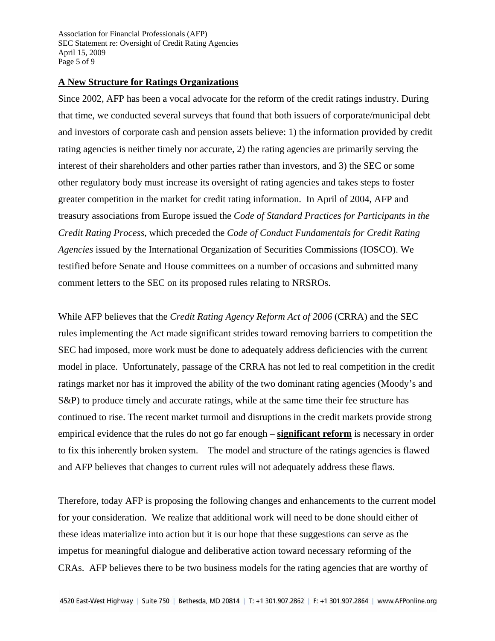Association for Financial Professionals (AFP) SEC Statement re: Oversight of Credit Rating Agencies April 15, 2009 Page 5 of 9

## **A New Structure for Ratings Organizations**

Since 2002, AFP has been a vocal advocate for the reform of the credit ratings industry. During that time, we conducted several surveys that found that both issuers of corporate/municipal debt and investors of corporate cash and pension assets believe: 1) the information provided by credit rating agencies is neither timely nor accurate, 2) the rating agencies are primarily serving the interest of their shareholders and other parties rather than investors, and 3) the SEC or some other regulatory body must increase its oversight of rating agencies and takes steps to foster greater competition in the market for credit rating information. In April of 2004, AFP and treasury associations from Europe issued the *Code of Standard Practices for Participants in the Credit Rating Process*, which preceded the *Code of Conduct Fundamentals for Credit Rating Agencies* issued by the International Organization of Securities Commissions (IOSCO). We testified before Senate and House committees on a number of occasions and submitted many comment letters to the SEC on its proposed rules relating to NRSROs.

While AFP believes that the *Credit Rating Agency Reform Act of 2006* (CRRA) and the SEC rules implementing the Act made significant strides toward removing barriers to competition the SEC had imposed, more work must be done to adequately address deficiencies with the current model in place. Unfortunately, passage of the CRRA has not led to real competition in the credit ratings market nor has it improved the ability of the two dominant rating agencies (Moody's and S&P) to produce timely and accurate ratings, while at the same time their fee structure has continued to rise. The recent market turmoil and disruptions in the credit markets provide strong empirical evidence that the rules do not go far enough – **significant reform** is necessary in order to fix this inherently broken system. The model and structure of the ratings agencies is flawed and AFP believes that changes to current rules will not adequately address these flaws.

Therefore, today AFP is proposing the following changes and enhancements to the current model for your consideration. We realize that additional work will need to be done should either of these ideas materialize into action but it is our hope that these suggestions can serve as the impetus for meaningful dialogue and deliberative action toward necessary reforming of the CRAs. AFP believes there to be two business models for the rating agencies that are worthy of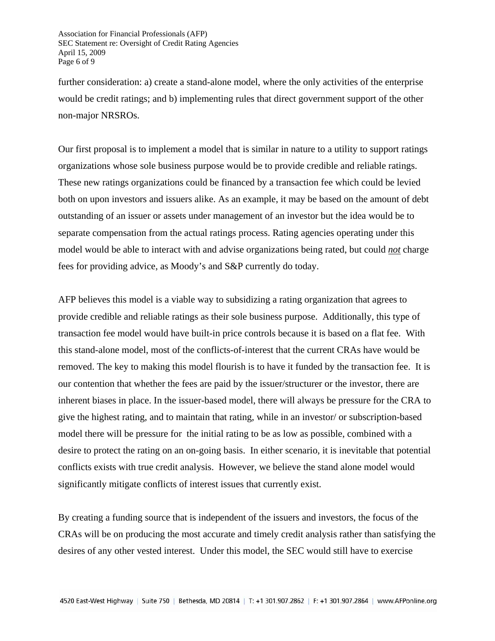Association for Financial Professionals (AFP) SEC Statement re: Oversight of Credit Rating Agencies April 15, 2009 Page 6 of 9

further consideration: a) create a stand-alone model, where the only activities of the enterprise would be credit ratings; and b) implementing rules that direct government support of the other non-major NRSROs.

Our first proposal is to implement a model that is similar in nature to a utility to support ratings organizations whose sole business purpose would be to provide credible and reliable ratings. These new ratings organizations could be financed by a transaction fee which could be levied both on upon investors and issuers alike. As an example, it may be based on the amount of debt outstanding of an issuer or assets under management of an investor but the idea would be to separate compensation from the actual ratings process. Rating agencies operating under this model would be able to interact with and advise organizations being rated, but could *not* charge fees for providing advice, as Moody's and S&P currently do today.

AFP believes this model is a viable way to subsidizing a rating organization that agrees to provide credible and reliable ratings as their sole business purpose. Additionally, this type of transaction fee model would have built-in price controls because it is based on a flat fee. With this stand-alone model, most of the conflicts-of-interest that the current CRAs have would be removed. The key to making this model flourish is to have it funded by the transaction fee. It is our contention that whether the fees are paid by the issuer/structurer or the investor, there are inherent biases in place. In the issuer-based model, there will always be pressure for the CRA to give the highest rating, and to maintain that rating, while in an investor/ or subscription-based model there will be pressure for the initial rating to be as low as possible, combined with a desire to protect the rating on an on-going basis. In either scenario, it is inevitable that potential conflicts exists with true credit analysis. However, we believe the stand alone model would significantly mitigate conflicts of interest issues that currently exist.

By creating a funding source that is independent of the issuers and investors, the focus of the CRAs will be on producing the most accurate and timely credit analysis rather than satisfying the desires of any other vested interest. Under this model, the SEC would still have to exercise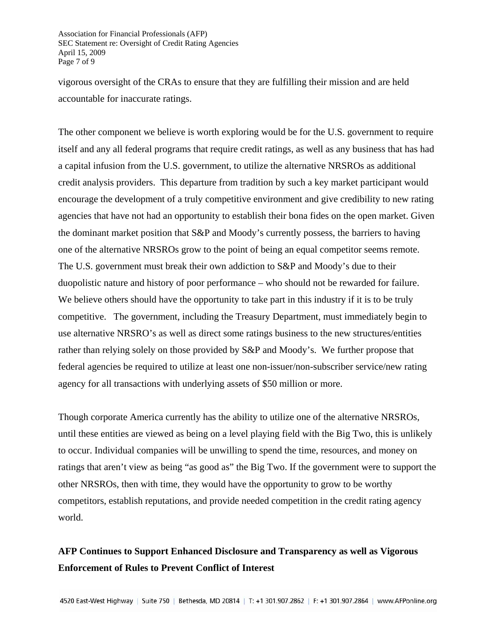Association for Financial Professionals (AFP) SEC Statement re: Oversight of Credit Rating Agencies April 15, 2009 Page 7 of 9

vigorous oversight of the CRAs to ensure that they are fulfilling their mission and are held accountable for inaccurate ratings.

The other component we believe is worth exploring would be for the U.S. government to require itself and any all federal programs that require credit ratings, as well as any business that has had a capital infusion from the U.S. government, to utilize the alternative NRSROs as additional credit analysis providers. This departure from tradition by such a key market participant would encourage the development of a truly competitive environment and give credibility to new rating agencies that have not had an opportunity to establish their bona fides on the open market. Given the dominant market position that S&P and Moody's currently possess, the barriers to having one of the alternative NRSROs grow to the point of being an equal competitor seems remote. The U.S. government must break their own addiction to S&P and Moody's due to their duopolistic nature and history of poor performance – who should not be rewarded for failure. We believe others should have the opportunity to take part in this industry if it is to be truly competitive. The government, including the Treasury Department, must immediately begin to use alternative NRSRO's as well as direct some ratings business to the new structures/entities rather than relying solely on those provided by S&P and Moody's. We further propose that federal agencies be required to utilize at least one non-issuer/non-subscriber service/new rating agency for all transactions with underlying assets of \$50 million or more.

Though corporate America currently has the ability to utilize one of the alternative NRSROs, until these entities are viewed as being on a level playing field with the Big Two, this is unlikely to occur. Individual companies will be unwilling to spend the time, resources, and money on ratings that aren't view as being "as good as" the Big Two. If the government were to support the other NRSROs, then with time, they would have the opportunity to grow to be worthy competitors, establish reputations, and provide needed competition in the credit rating agency world.

## **AFP Continues to Support Enhanced Disclosure and Transparency as well as Vigorous Enforcement of Rules to Prevent Conflict of Interest**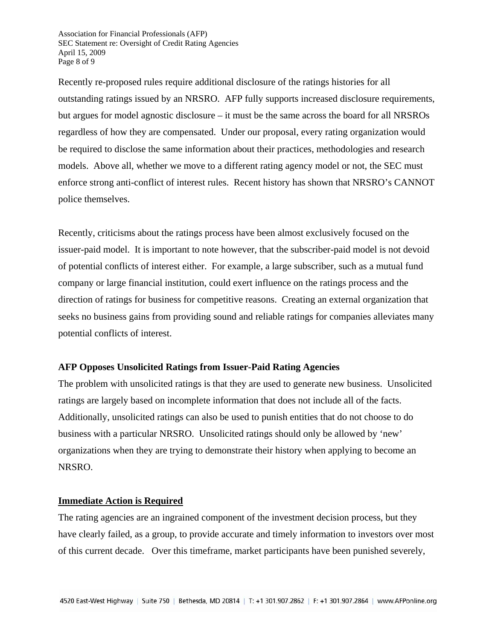Association for Financial Professionals (AFP) SEC Statement re: Oversight of Credit Rating Agencies April 15, 2009 Page 8 of 9

Recently re-proposed rules require additional disclosure of the ratings histories for all outstanding ratings issued by an NRSRO. AFP fully supports increased disclosure requirements, but argues for model agnostic disclosure – it must be the same across the board for all NRSROs regardless of how they are compensated. Under our proposal, every rating organization would be required to disclose the same information about their practices, methodologies and research models. Above all, whether we move to a different rating agency model or not, the SEC must enforce strong anti-conflict of interest rules. Recent history has shown that NRSRO's CANNOT police themselves.

Recently, criticisms about the ratings process have been almost exclusively focused on the issuer-paid model. It is important to note however, that the subscriber-paid model is not devoid of potential conflicts of interest either. For example, a large subscriber, such as a mutual fund company or large financial institution, could exert influence on the ratings process and the direction of ratings for business for competitive reasons. Creating an external organization that seeks no business gains from providing sound and reliable ratings for companies alleviates many potential conflicts of interest.

## **AFP Opposes Unsolicited Ratings from Issuer-Paid Rating Agencies**

The problem with unsolicited ratings is that they are used to generate new business. Unsolicited ratings are largely based on incomplete information that does not include all of the facts. Additionally, unsolicited ratings can also be used to punish entities that do not choose to do business with a particular NRSRO. Unsolicited ratings should only be allowed by 'new' organizations when they are trying to demonstrate their history when applying to become an NRSRO.

### **Immediate Action is Required**

The rating agencies are an ingrained component of the investment decision process, but they have clearly failed, as a group, to provide accurate and timely information to investors over most of this current decade. Over this timeframe, market participants have been punished severely,